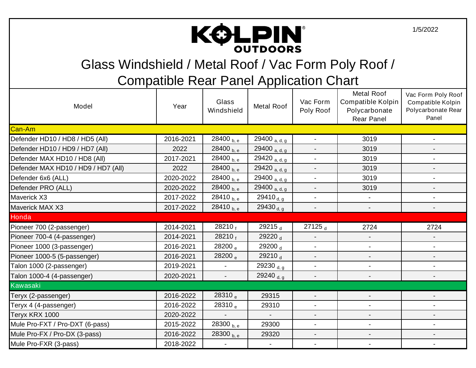

Glass Windshield / Metal Roof / Vac Form Poly Roof /

| Model                               | Year      | Glass<br>Windshield    | Metal Roof               | Vac Form<br>Poly Roof    | <b>Metal Roof</b><br><b>Compatible Kolpin</b><br>Polycarbonate<br><b>Rear Panel</b> | Vac Form Poly Roof<br>Compatible Kolpin<br>Polycarbonate Rear<br>Panel |  |
|-------------------------------------|-----------|------------------------|--------------------------|--------------------------|-------------------------------------------------------------------------------------|------------------------------------------------------------------------|--|
| Can-Am                              |           |                        |                          |                          |                                                                                     |                                                                        |  |
| Defender HD10 / HD8 / HD5 (All)     | 2016-2021 | 28400 <sub>b, e</sub>  | 29400 a, d, g            | $\sim$                   | 3019                                                                                | $\blacksquare$                                                         |  |
| Defender HD10 / HD9 / HD7 (All)     | 2022      | 28400 <sub>b, e</sub>  | 29400 <sub>a, d, g</sub> |                          | 3019                                                                                |                                                                        |  |
| Defender MAX HD10 / HD8 (All)       | 2017-2021 | 28400 $_{\text{b, e}}$ | 29420 a, d, g            |                          | 3019                                                                                |                                                                        |  |
| Defender MAX HD10 / HD9 / HD7 (All) | 2022      | 28400 <sub>b, e</sub>  | 29420 a, d, g            |                          | 3019                                                                                |                                                                        |  |
| Defender 6x6 (ALL)                  | 2020-2022 | 28400 $_{\rm b.e.}$    | 29400 $a, d, g$          |                          | 3019                                                                                |                                                                        |  |
| Defender PRO (ALL)                  | 2020-2022 | 28400 <sub>b.e</sub>   | 29400 a, d, g            | $\blacksquare$           | 3019                                                                                |                                                                        |  |
| Maverick X3                         | 2017-2022 | 28410 <sub>b, e</sub>  | 29410 $_{d, g}$          | $\sim$                   | $\blacksquare$                                                                      |                                                                        |  |
| Maverick MAX X3                     | 2017-2022 | 28410 <sub>b, e</sub>  | 29430 <sub>d, g</sub>    |                          |                                                                                     |                                                                        |  |
| Honda                               |           |                        |                          |                          |                                                                                     |                                                                        |  |
| Pioneer 700 (2-passenger)           | 2014-2021 | 28210 f                | 29215 <sub>d</sub>       | 27125 <sub>d</sub>       | 2724                                                                                | 2724                                                                   |  |
| Pioneer 700-4 (4-passenger)         | 2014-2021 | 28210f                 | 29220 <sub>d</sub>       | $\overline{\phantom{a}}$ | $\overline{\phantom{a}}$                                                            | $\overline{\phantom{a}}$                                               |  |
| Pioneer 1000 (3-passenger)          | 2016-2021 | 28200 <sub>e</sub>     | 29200 <sub>d</sub>       |                          | $\overline{\phantom{a}}$                                                            |                                                                        |  |
| Pioneer 1000-5 (5-passenger)        | 2016-2021 | 28200 <sub>e</sub>     | 29210 <sub>d</sub>       |                          |                                                                                     |                                                                        |  |
| Talon 1000 (2-passenger)            | 2019-2021 | $\blacksquare$         | 29230 $_{d, g}$          |                          | $\overline{\phantom{0}}$                                                            |                                                                        |  |
| Talon 1000-4 (4-passenger)          | 2020-2021 | $\blacksquare$         | 29240 <sub>d, g</sub>    |                          |                                                                                     |                                                                        |  |
| Kawasaki                            |           |                        |                          |                          |                                                                                     |                                                                        |  |
| Teryx (2-passenger)                 | 2016-2022 | 28310 <sub>e</sub>     | 29315                    |                          | $\blacksquare$                                                                      |                                                                        |  |
| Teryx 4 (4-passenger)               | 2016-2022 | 28310 <sub>e</sub>     | 29310                    |                          |                                                                                     |                                                                        |  |
| Teryx KRX 1000                      | 2020-2022 |                        | $\blacksquare$           |                          |                                                                                     |                                                                        |  |
| Mule Pro-FXT / Pro-DXT (6-pass)     | 2015-2022 | 28300 <sub>b, e</sub>  | 29300                    | $\blacksquare$           | $\overline{\phantom{0}}$                                                            | $\overline{\phantom{0}}$                                               |  |
| Mule Pro-FX / Pro-DX (3-pass)       | 2016-2022 | 28300 <sub>b, e</sub>  | 29320                    |                          | $\overline{\phantom{a}}$                                                            |                                                                        |  |
| Mule Pro-FXR (3-pass)               | 2018-2022 |                        |                          |                          |                                                                                     |                                                                        |  |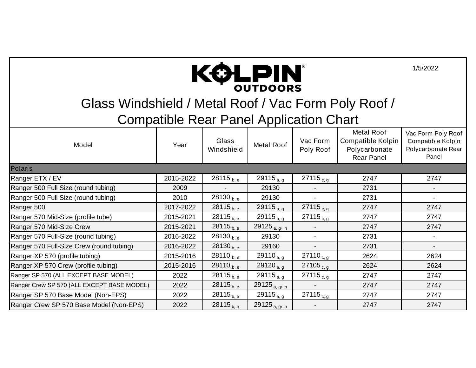

Glass Windshield / Metal Roof / Vac Form Poly Roof /

| Model                                      | Year      | Glass<br>Windshield      | Metal Roof                | Vac Form<br>Poly Roof | Metal Roof<br>Compatible Kolpin<br>Polycarbonate<br>Rear Panel | Vac Form Poly Roof<br>Compatible Kolpin<br>Polycarbonate Rear<br>Panel |
|--------------------------------------------|-----------|--------------------------|---------------------------|-----------------------|----------------------------------------------------------------|------------------------------------------------------------------------|
| <b>Polaris</b>                             |           |                          |                           |                       |                                                                |                                                                        |
| Ranger ETX / EV                            | 2015-2022 | 28115 <sub>b, e</sub>    | 29115 $_{a, g}$           | $27115_{c, g}$        | 2747                                                           | 2747                                                                   |
| Ranger 500 Full Size (round tubing)        | 2009      | $\overline{\phantom{a}}$ | 29130                     |                       | 2731                                                           |                                                                        |
| Ranger 500 Full Size (round tubing)        | 2010      | 28130 $_{\rm b, e}$      | 29130                     |                       | 2731                                                           | $\overline{\phantom{a}}$                                               |
| Ranger 500                                 | 2017-2022 | $28115_{b, e}$           | 29115 $a, g$              | $27115_{c, g}$        | 2747                                                           | 2747                                                                   |
| Ranger 570 Mid-Size (profile tube)         | 2015-2021 | $28115_{\rm b,\,e}$      | 29115 $_{\rm a,\,g}$      | $27115_{c, g}$        | 2747                                                           | 2747                                                                   |
| Ranger 570 Mid-Size Crew                   | 2015-2021 | $28115_{b, e}$           | 29125 <sub>a, g</sub> , h |                       | 2747                                                           | 2747                                                                   |
| Ranger 570 Full-Size (round tubing)        | 2016-2022 | 28130 <sub>b, e</sub>    | 29130                     | Ξ.                    | 2731                                                           |                                                                        |
| Ranger 570 Full-Size Crew (round tubing)   | 2016-2022 | $28130_{\mathrm{b, e}}$  | 29160                     |                       | 2731                                                           |                                                                        |
| Ranger XP 570 (profile tubing)             | 2015-2016 | 28110 <sub>b, e</sub>    | 29110 $_{a,q}$            | 27110 $_{c, g}$       | 2624                                                           | 2624                                                                   |
| Ranger XP 570 Crew (profile tubing)        | 2015-2016 | $28110_{b, e}$           | 29120 <sub>a, g</sub>     | $27105_{c, g}$        | 2624                                                           | 2624                                                                   |
| Ranger SP 570 (ALL EXCEPT BASE MODEL)      | 2022      | 28115 <sub>b, e</sub>    | 29115 $_{a, g}$           | $27115_{c, g}$        | 2747                                                           | 2747                                                                   |
| Ranger Crew SP 570 (ALL EXCEPT BASE MODEL) | 2022      | $28115_{b, e}$           | 29125 <sub>a, g</sub> , h |                       | 2747                                                           | 2747                                                                   |
| Ranger SP 570 Base Model (Non-EPS)         | 2022      | 28115 <sub>b, e</sub>    | 29115 $_{a, g}$           | $27115_{c, g}$        | 2747                                                           | 2747                                                                   |
| Ranger Crew SP 570 Base Model (Non-EPS)    | 2022      | $28115_{b, e}$           | 29125 <sub>a, g</sub> , h |                       | 2747                                                           | 2747                                                                   |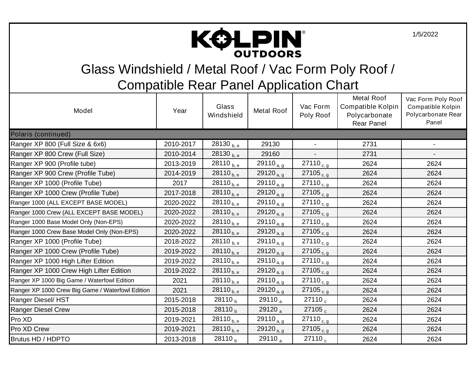

Glass Windshield / Metal Roof / Vac Form Poly Roof /

| Model                                            | Year      | Glass<br>Windshield         | Metal Roof            | Vac Form<br>Poly Roof | <b>Metal Roof</b><br>Compatible Kolpin<br>Polycarbonate<br>Rear Panel | Vac Form Poly Roof<br>Compatible Kolpin<br>Polycarbonate Rear<br>Panel |
|--------------------------------------------------|-----------|-----------------------------|-----------------------|-----------------------|-----------------------------------------------------------------------|------------------------------------------------------------------------|
| Polaris (continued)                              |           |                             |                       |                       |                                                                       |                                                                        |
| Ranger XP 800 (Full Size & 6x6)                  | 2010-2017 | 28130 <sub>b, e</sub>       | 29130                 |                       | 2731                                                                  |                                                                        |
| Ranger XP 800 Crew (Full Size)                   | 2010-2014 | 28130 <sub>b, e</sub>       | 29160                 |                       | 2731                                                                  | $\overline{\phantom{a}}$                                               |
| Ranger XP 900 (Profile tube)                     | 2013-2019 | 28110 <sub>b, e</sub>       | 29110 $_{a, g}$       | 27110 $_{c, g}$       | 2624                                                                  | 2624                                                                   |
| Ranger XP 900 Crew (Profile Tube)                | 2014-2019 | $28110_{\text{b},\text{e}}$ | 29120 $_{a, g}$       | 27105 $_{c, g}$       | 2624                                                                  | 2624                                                                   |
| Ranger XP 1000 (Profile Tube)                    | 2017      | 28110 $_{\rm b, e}$         | 29110 $a, g$          | 27110 $_{c, g}$       | 2624                                                                  | 2624                                                                   |
| Ranger XP 1000 Crew (Profile Tube)               | 2017-2018 | 28110 <sub>b, e</sub>       | 29120 $a, g$          | $27105_{c, g}$        | 2624                                                                  | 2624                                                                   |
| Ranger 1000 (ALL EXCEPT BASE MODEL)              | 2020-2022 | $28110_{\rm b, e}$          | 29110 $a, g$          | $27110_{c, g}$        | 2624                                                                  | 2624                                                                   |
| Ranger 1000 Crew (ALL EXCEPT BASE MODEL)         | 2020-2022 | $28110_{\text{b},\text{e}}$ | 29120 $_{a, g}$       | 27105 $_{c, g}$       | 2624                                                                  | 2624                                                                   |
| Ranger 1000 Base Model Only (Non-EPS)            | 2020-2022 | $28110_{\text{b},\text{e}}$ | 29110 $_{a, g}$       | 27110 $_{c, g}$       | 2624                                                                  | 2624                                                                   |
| Ranger 1000 Crew Base Model Only (Non-EPS)       | 2020-2022 | 28110 $_{\rm b,\,e}$        | 29120 $_{a, g}$       | 27105 $_{c, g}$       | 2624                                                                  | 2624                                                                   |
| Ranger XP 1000 (Profile Tube)                    | 2018-2022 | 28110 <sub>b, e</sub>       | 29110 $a, g$          | $27110_{c, g}$        | 2624                                                                  | 2624                                                                   |
| Ranger XP 1000 Crew (Profile Tube)               | 2019-2022 | $28110_{\rm b,\,e}$         | 29120 $a, g$          | $27105_{c, g}$        | 2624                                                                  | 2624                                                                   |
| Ranger XP 1000 High Lifter Edition               | 2019-2022 | $28110_{\rm b, e}$          | 29110 $_{a, g}$       | 27110 $_{c, g}$       | 2624                                                                  | 2624                                                                   |
| Ranger XP 1000 Crew High Lifter Edition          | 2019-2022 | 28110 <sub>b, e</sub>       | 29120 $a, g$          | 27105 $_{c, g}$       | 2624                                                                  | 2624                                                                   |
| Ranger XP 1000 Big Game / Waterfowl Edition      | 2021      | 28110 <sub>b, e</sub>       | 29110 $_{a, g}$       | 27110 $_{c, g}$       | 2624                                                                  | 2624                                                                   |
| Ranger XP 1000 Crew Big Game / Waterfowl Edition | 2021      | $28110_{\text{b},\text{e}}$ | 29120 <sub>a, g</sub> | 27105 $_{c, g}$       | 2624                                                                  | 2624                                                                   |
| Ranger Diesel/HST                                | 2015-2018 | $28110_h$                   | 29110 $_{\circ}$      | $27110_c$             | 2624                                                                  | 2624                                                                   |
| <b>Ranger Diesel Crew</b>                        | 2015-2018 | 28110 <sub>b</sub>          | 29120 $_{\circ}$      | 27105 <sub>c</sub>    | 2624                                                                  | 2624                                                                   |
| Pro XD                                           | 2019-2021 | 28110 <sub>b, e</sub>       | 29110 $a, g$          | 27110 $_{c, g}$       | 2624                                                                  | 2624                                                                   |
| Pro XD Crew                                      | 2019-2021 | 28110 <sub>b, e</sub>       | 29120 <sub>a, g</sub> | 27105 $_{c, g}$       | 2624                                                                  | 2624                                                                   |
| Brutus HD / HDPTO                                | 2013-2018 | 28110 <sub>b</sub>          | 29110 <sub>a</sub>    | 27110 <sub>c</sub>    | 2624                                                                  | 2624                                                                   |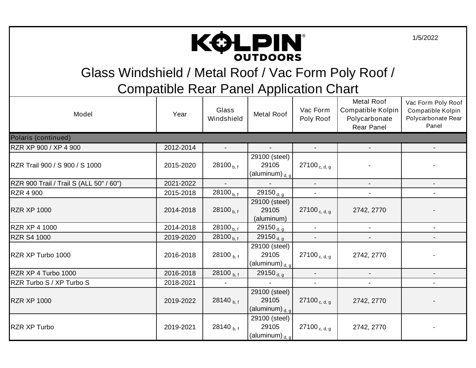

Glass Windshield / Metal Roof / Vac Form Poly Roof /

| Model                                   | Year      | Glass<br>Windshield      | Metal Roof                                     | Vac Form<br>Poly Roof    | <b>Metal Roof</b><br>Compatible Kolpin<br>Polycarbonate<br>Rear Panel | Vac Form Poly Roof<br>Compatible Kolpin<br>Polycarbonate Rear<br>Panel |
|-----------------------------------------|-----------|--------------------------|------------------------------------------------|--------------------------|-----------------------------------------------------------------------|------------------------------------------------------------------------|
| Polaris (continued)                     |           |                          |                                                |                          |                                                                       |                                                                        |
| RZR XP 900 / XP 4 900                   | 2012-2014 |                          |                                                |                          |                                                                       |                                                                        |
| RZR Trail 900 / S 900 / S 1000          | 2015-2020 | 28100 $_{b,f}$           | 29100 (steel)<br>29105<br>(aluminum) $_{d, g}$ | 27100 <sub>c, d, g</sub> |                                                                       |                                                                        |
| RZR 900 Trail / Trail S (ALL 50" / 60") | 2021-2022 | $\overline{\phantom{a}}$ | $\blacksquare$                                 |                          |                                                                       | $\blacksquare$                                                         |
| <b>RZR 4 900</b>                        | 2015-2018 | 28100 <sub>b,f</sub>     | 29150 $_{d, g}$                                | $\blacksquare$           |                                                                       |                                                                        |
| <b>RZR XP 1000</b>                      | 2014-2018 | 28100 $_{\rm b,f}$       | 29100 (steel)<br>29105<br>(aluminum)           | 27100 <sub>c, d, g</sub> | 2742, 2770                                                            |                                                                        |
| <b>RZR XP 4 1000</b>                    | 2014-2018 | 28100 $_{b.f}$           | 29150 $_{d, g}$                                |                          |                                                                       |                                                                        |
| <b>RZR S4 1000</b>                      | 2019-2020 | 28100 $_{b,f}$           | 29150 <sub>d, g</sub>                          |                          |                                                                       |                                                                        |
| RZR XP Turbo 1000                       | 2016-2018 | 28100 <sub>b,f</sub>     | 29100 (steel)<br>29105<br>(aluminum) $_{d, g}$ | $27100_{c, d, g}$        | 2742, 2770                                                            |                                                                        |
| RZR XP 4 Turbo 1000                     | 2016-2018 | 28100 <sub>b,f</sub>     | 29150 <sub>d, g</sub>                          |                          |                                                                       |                                                                        |
| RZR Turbo S / XP Turbo S                | 2018-2021 |                          |                                                |                          |                                                                       |                                                                        |
| <b>RZR XP 1000</b>                      | 2019-2022 | 28140 $_{\rm b.f}$       | 29100 (steel)<br>29105<br>(aluminum) $_{d, g}$ | 27100 <sub>c, d, g</sub> | 2742, 2770                                                            |                                                                        |
| <b>RZR XP Turbo</b>                     | 2019-2021 | 28140 $_{\rm b.f}$       | 29100 (steel)<br>29105<br>(aluminum) $_{d, g}$ | 27100 <sub>c, d, g</sub> | 2742, 2770                                                            |                                                                        |